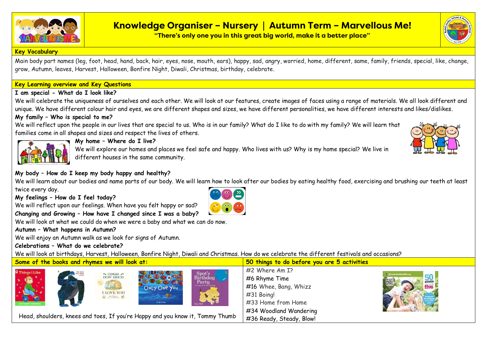

# **Knowledge Organiser – Nursery | Autumn Term – Marvellous Me!**

**"There's only one you in this great big world, make it a better place"**

#### **Key Vocabulary**

Main body part names (leg, foot, head, hand, back, hair, eyes, nose, mouth, ears), happy, sad, angry, worried, home, different, same, family, friends, special, like, change, grow, Autumn, leaves, Harvest, Halloween, Bonfire Night, Diwali, Christmas, birthday, celebrate.

### **Key Learning overview and Key Questions**

### **I am special - What do I look like?**

We will celebrate the uniqueness of ourselves and each other. We will look at our features, create images of faces using a range of materials. We all look different and unique. We have different colour hair and eyes, we are different shapes and sizes, we have different personalities, we have different interests and likes/dislikes.

# **My family – Who is special to me?**

We will reflect upon the people in our lives that are special to us. Who is in our family? What do I like to do with my family? We will learn that families come in all shapes and sizes and respect the lives of others.



# **My home – Where do I live?**

We will explore our homes and places we feel safe and happy. Who lives with us? Why is my home special? We live in different houses in the same community.

## **My body – How do I keep my body happy and healthy?**

We will learn about our bodies and name parts of our body. We will learn how to look after our bodies by eating healthy food, exercising and brushing our teeth at least twice every day.

**My feelings – How do I feel today?** 

We will reflect upon our feelings. When have you felt happy or sad?



We will look at what we could do when we were a baby and what we can do now.

## **Autumn – What happens in Autumn?**

We will enjoy an Autumn walk as we look for signs of Autumn.

## **Celebrations – What do we celebrate?**

We will look at birthdays, Harvest, Halloween, Bonfire Night, Diwali and Christmas. How do we celebrate the different festivals and occasions?

**Some of the books and rhymes we will look at: 50 things to do before you are 5 activities**



Head, shoulders, knees and toes, If you're Happy and you know it, Tommy Thumb

#2 Where Am I? #6 Rhyme Time #16 Whee, Bang, Whizz #31 Boing! #33 Home from Home #34 Woodland Wandering #36 Ready, Steady, Blow!